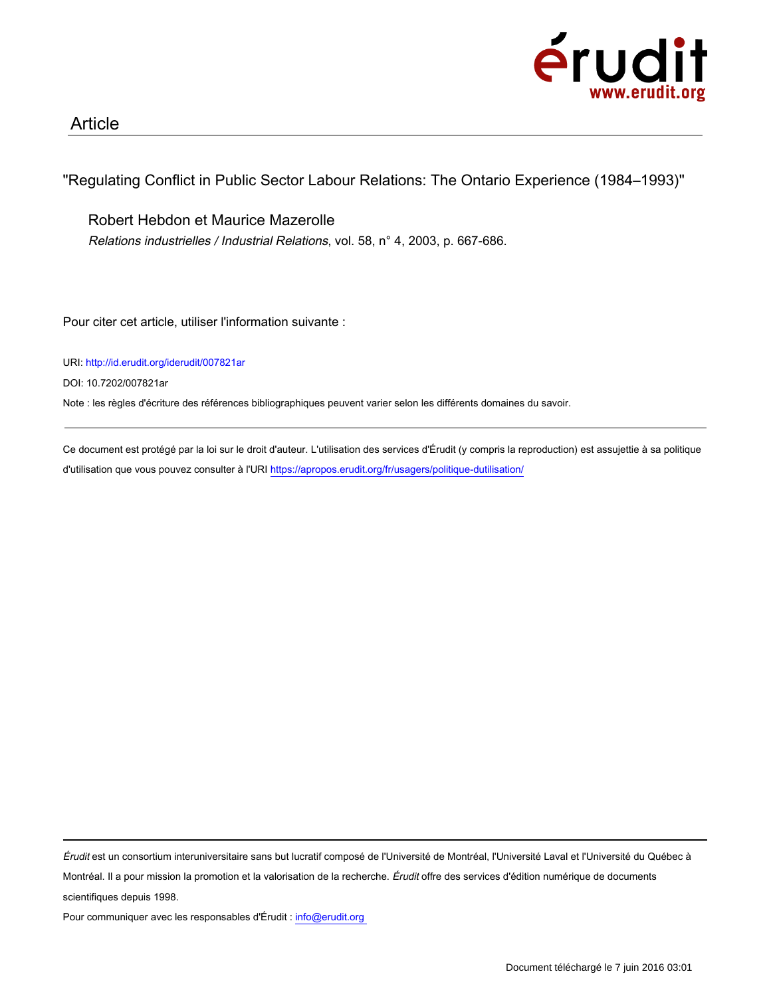

"Regulating Conflict in Public Sector Labour Relations: The Ontario Experience (1984–1993)"

Robert Hebdon et Maurice Mazerolle Relations industrielles / Industrial Relations, vol. 58, n° 4, 2003, p. 667-686.

Pour citer cet article, utiliser l'information suivante :

URI: http://id.erudit.org/iderudit/007821ar

DOI: 10.7202/007821ar

Note : les règles d'écriture des références bibliographiques peuvent varier selon les différents domaines du savoir.

Ce document est protégé par la loi sur le droit d'auteur. L'utilisation des services d'Érudit (y compris la reproduction) est assujettie à sa politique d'utilisation que vous pouvez consulter à l'URI https://apropos.erudit.org/fr/usagers/politique-dutilisation/

Érudit est un consortium interuniversitaire sans but lucratif composé de l'Université de Montréal, l'Université Laval et l'Université du Québec à Montréal. Il a pour mission la promotion et la valorisation de la recherche. Érudit offre des services d'édition numérique de documents scientifiques depuis 1998.

Pour communiquer avec les responsables d'Érudit : info@erudit.org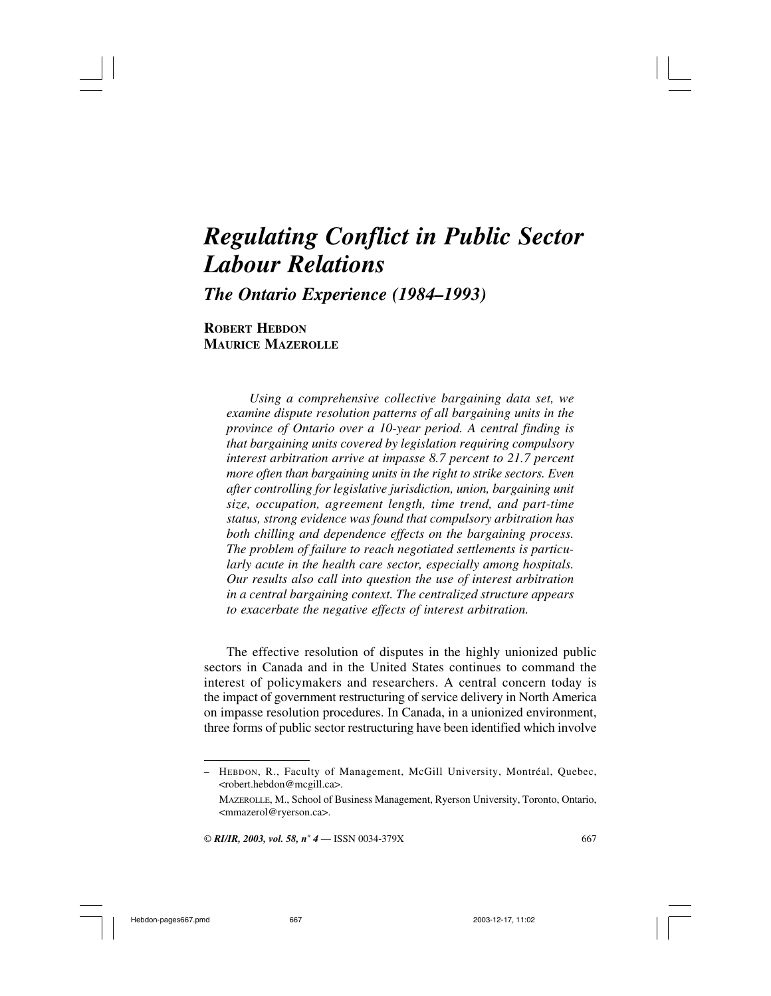# *Regulating Conflict in Public Sector Labour Relations*

*The Ontario Experience (1984–1993)*

**ROBERT HEBDON MAURICE MAZEROLLE**

> *Using a comprehensive collective bargaining data set, we examine dispute resolution patterns of all bargaining units in the province of Ontario over a 10-year period. A central finding is that bargaining units covered by legislation requiring compulsory interest arbitration arrive at impasse 8.7 percent to 21.7 percent more often than bargaining units in the right to strike sectors. Even after controlling for legislative jurisdiction, union, bargaining unit size, occupation, agreement length, time trend, and part-time status, strong evidence was found that compulsory arbitration has both chilling and dependence effects on the bargaining process. The problem of failure to reach negotiated settlements is particularly acute in the health care sector, especially among hospitals. Our results also call into question the use of interest arbitration in a central bargaining context. The centralized structure appears to exacerbate the negative effects of interest arbitration.*

The effective resolution of disputes in the highly unionized public sectors in Canada and in the United States continues to command the interest of policymakers and researchers. A central concern today is the impact of government restructuring of service delivery in North America on impasse resolution procedures. In Canada, in a unionized environment, three forms of public sector restructuring have been identified which involve

<sup>–</sup> HEBDON, R., Faculty of Management, McGill University, Montréal, Quebec, <robert.hebdon@mcgill.ca>.

MAZEROLLE, M., School of Business Management, Ryerson University, Toronto, Ontario, <mmazerol@ryerson.ca>.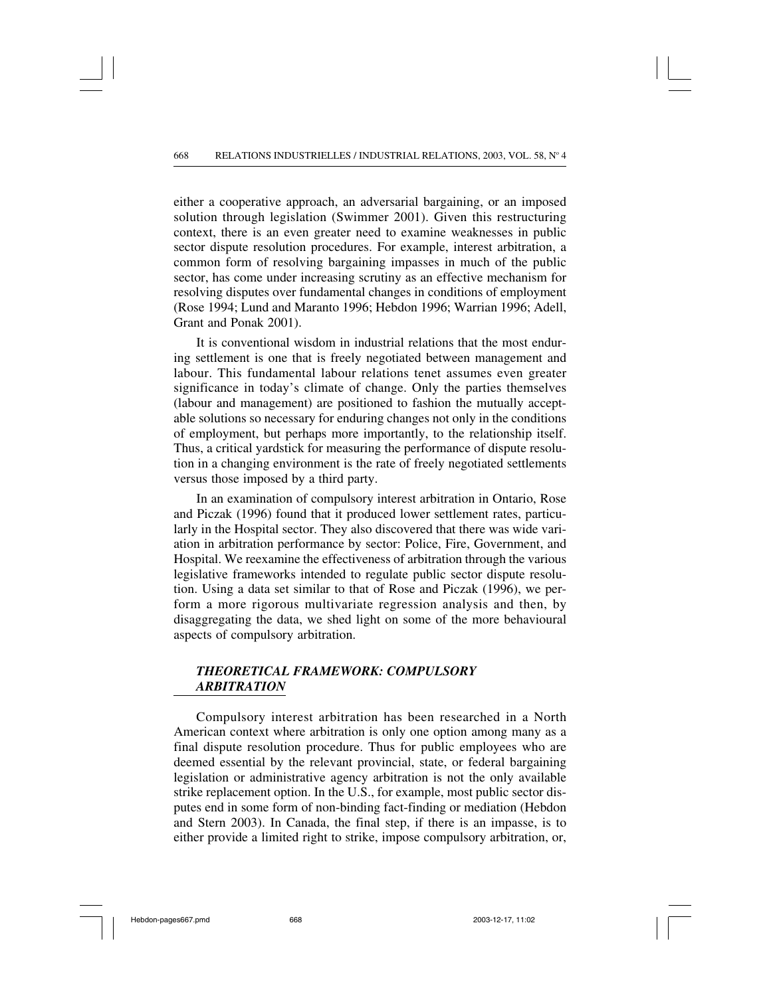either a cooperative approach, an adversarial bargaining, or an imposed solution through legislation (Swimmer 2001). Given this restructuring context, there is an even greater need to examine weaknesses in public sector dispute resolution procedures. For example, interest arbitration, a common form of resolving bargaining impasses in much of the public sector, has come under increasing scrutiny as an effective mechanism for resolving disputes over fundamental changes in conditions of employment (Rose 1994; Lund and Maranto 1996; Hebdon 1996; Warrian 1996; Adell, Grant and Ponak 2001).

It is conventional wisdom in industrial relations that the most enduring settlement is one that is freely negotiated between management and labour. This fundamental labour relations tenet assumes even greater significance in today's climate of change. Only the parties themselves (labour and management) are positioned to fashion the mutually acceptable solutions so necessary for enduring changes not only in the conditions of employment, but perhaps more importantly, to the relationship itself. Thus, a critical yardstick for measuring the performance of dispute resolution in a changing environment is the rate of freely negotiated settlements versus those imposed by a third party.

In an examination of compulsory interest arbitration in Ontario, Rose and Piczak (1996) found that it produced lower settlement rates, particularly in the Hospital sector. They also discovered that there was wide variation in arbitration performance by sector: Police, Fire, Government, and Hospital. We reexamine the effectiveness of arbitration through the various legislative frameworks intended to regulate public sector dispute resolution. Using a data set similar to that of Rose and Piczak (1996), we perform a more rigorous multivariate regression analysis and then, by disaggregating the data, we shed light on some of the more behavioural aspects of compulsory arbitration.

# *THEORETICAL FRAMEWORK: COMPULSORY ARBITRATION*

Compulsory interest arbitration has been researched in a North American context where arbitration is only one option among many as a final dispute resolution procedure. Thus for public employees who are deemed essential by the relevant provincial, state, or federal bargaining legislation or administrative agency arbitration is not the only available strike replacement option. In the U.S., for example, most public sector disputes end in some form of non-binding fact-finding or mediation (Hebdon and Stern 2003). In Canada, the final step, if there is an impasse, is to either provide a limited right to strike, impose compulsory arbitration, or,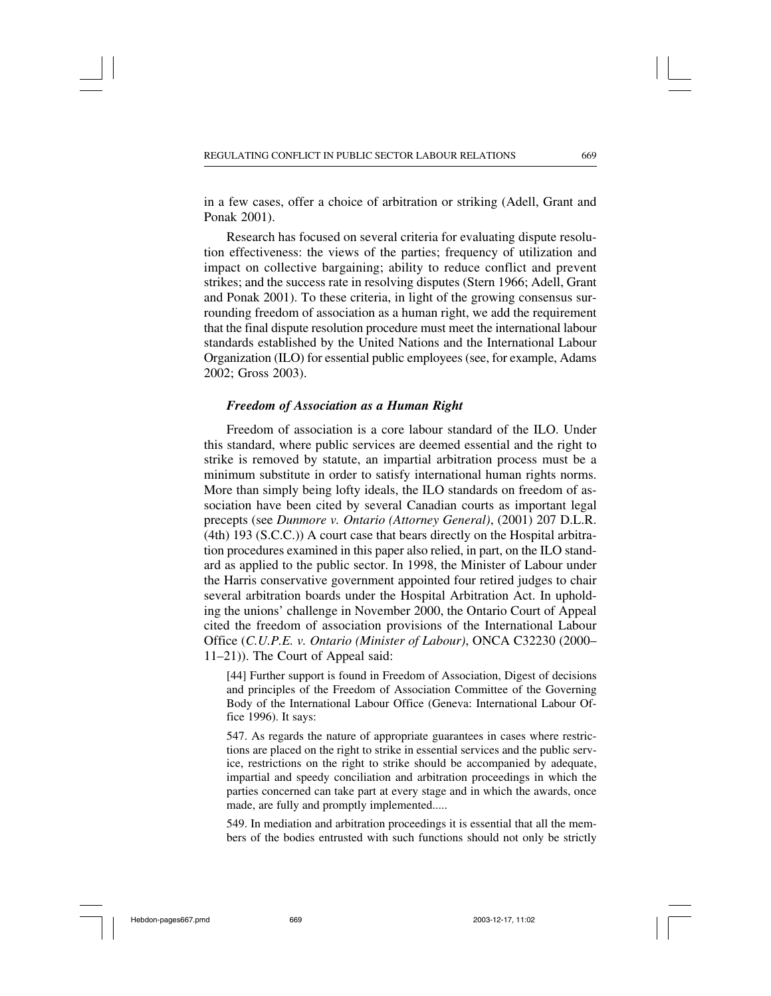in a few cases, offer a choice of arbitration or striking (Adell, Grant and Ponak 2001).

Research has focused on several criteria for evaluating dispute resolution effectiveness: the views of the parties; frequency of utilization and impact on collective bargaining; ability to reduce conflict and prevent strikes; and the success rate in resolving disputes (Stern 1966; Adell, Grant and Ponak 2001). To these criteria, in light of the growing consensus surrounding freedom of association as a human right, we add the requirement that the final dispute resolution procedure must meet the international labour standards established by the United Nations and the International Labour Organization (ILO) for essential public employees (see, for example, Adams 2002; Gross 2003).

#### *Freedom of Association as a Human Right*

Freedom of association is a core labour standard of the ILO. Under this standard, where public services are deemed essential and the right to strike is removed by statute, an impartial arbitration process must be a minimum substitute in order to satisfy international human rights norms. More than simply being lofty ideals, the ILO standards on freedom of association have been cited by several Canadian courts as important legal precepts (see *Dunmore v. Ontario (Attorney General)*, (2001) 207 D.L.R. (4th) 193 (S.C.C.)) A court case that bears directly on the Hospital arbitration procedures examined in this paper also relied, in part, on the ILO standard as applied to the public sector. In 1998, the Minister of Labour under the Harris conservative government appointed four retired judges to chair several arbitration boards under the Hospital Arbitration Act. In upholding the unions' challenge in November 2000, the Ontario Court of Appeal cited the freedom of association provisions of the International Labour Office (*C.U.P.E. v. Ontario (Minister of Labour)*, ONCA C32230 (2000– 11–21)). The Court of Appeal said:

[44] Further support is found in Freedom of Association, Digest of decisions and principles of the Freedom of Association Committee of the Governing Body of the International Labour Office (Geneva: International Labour Office 1996). It says:

547. As regards the nature of appropriate guarantees in cases where restrictions are placed on the right to strike in essential services and the public service, restrictions on the right to strike should be accompanied by adequate, impartial and speedy conciliation and arbitration proceedings in which the parties concerned can take part at every stage and in which the awards, once made, are fully and promptly implemented.....

549. In mediation and arbitration proceedings it is essential that all the members of the bodies entrusted with such functions should not only be strictly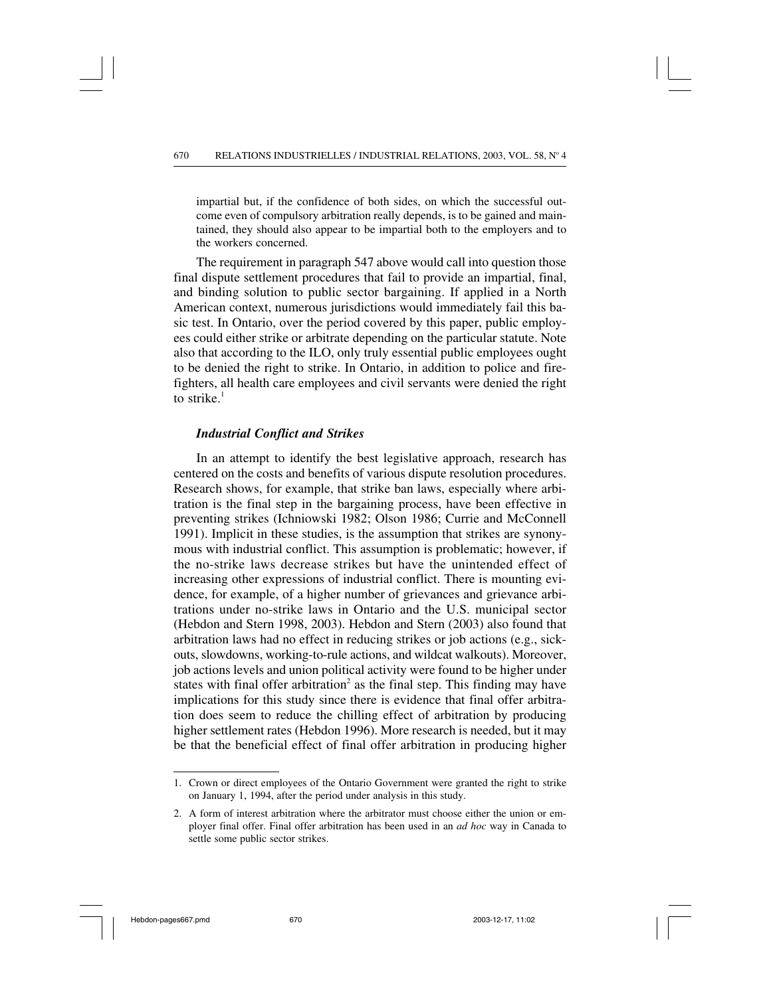impartial but, if the confidence of both sides, on which the successful outcome even of compulsory arbitration really depends, is to be gained and maintained, they should also appear to be impartial both to the employers and to the workers concerned.

The requirement in paragraph 547 above would call into question those final dispute settlement procedures that fail to provide an impartial, final, and binding solution to public sector bargaining. If applied in a North American context, numerous jurisdictions would immediately fail this basic test. In Ontario, over the period covered by this paper, public employees could either strike or arbitrate depending on the particular statute. Note also that according to the ILO, only truly essential public employees ought to be denied the right to strike. In Ontario, in addition to police and firefighters, all health care employees and civil servants were denied the right to strike $<sup>1</sup>$ </sup>

#### *Industrial Conflict and Strikes*

In an attempt to identify the best legislative approach, research has centered on the costs and benefits of various dispute resolution procedures. Research shows, for example, that strike ban laws, especially where arbitration is the final step in the bargaining process, have been effective in preventing strikes (Ichniowski 1982; Olson 1986; Currie and McConnell 1991). Implicit in these studies, is the assumption that strikes are synonymous with industrial conflict. This assumption is problematic; however, if the no-strike laws decrease strikes but have the unintended effect of increasing other expressions of industrial conflict. There is mounting evidence, for example, of a higher number of grievances and grievance arbitrations under no-strike laws in Ontario and the U.S. municipal sector (Hebdon and Stern 1998, 2003). Hebdon and Stern (2003) also found that arbitration laws had no effect in reducing strikes or job actions (e.g., sickouts, slowdowns, working-to-rule actions, and wildcat walkouts). Moreover, job actions levels and union political activity were found to be higher under states with final offer arbitration<sup>2</sup> as the final step. This finding may have implications for this study since there is evidence that final offer arbitration does seem to reduce the chilling effect of arbitration by producing higher settlement rates (Hebdon 1996). More research is needed, but it may be that the beneficial effect of final offer arbitration in producing higher

<sup>1.</sup> Crown or direct employees of the Ontario Government were granted the right to strike on January 1, 1994, after the period under analysis in this study.

<sup>2.</sup> A form of interest arbitration where the arbitrator must choose either the union or employer final offer. Final offer arbitration has been used in an *ad hoc* way in Canada to settle some public sector strikes.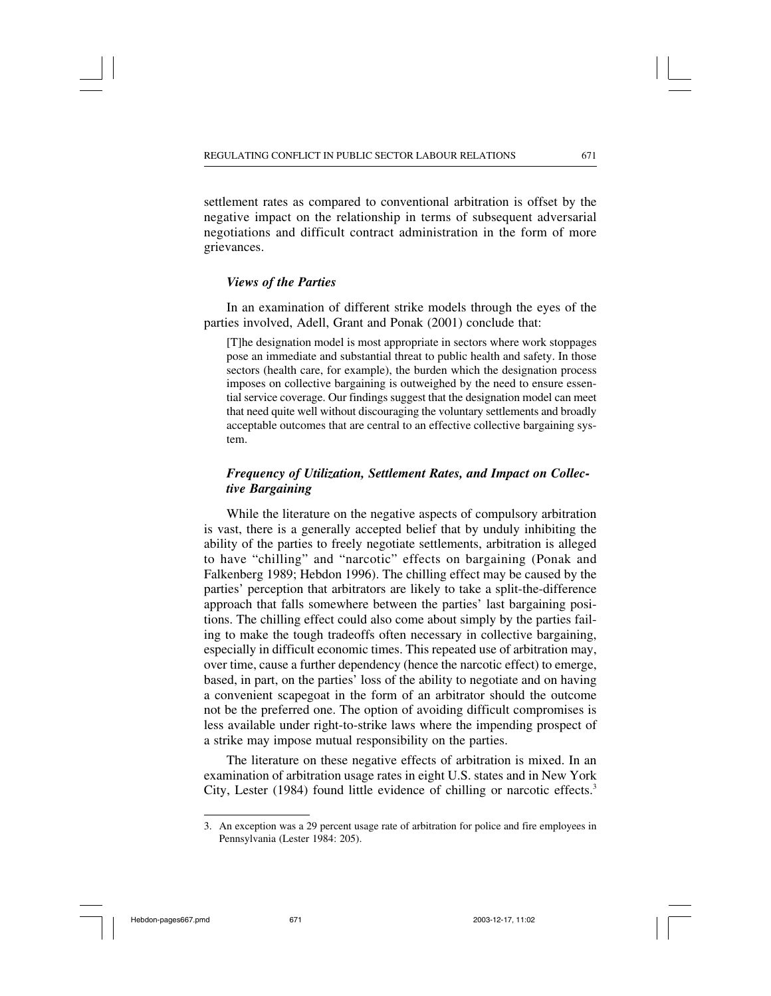settlement rates as compared to conventional arbitration is offset by the negative impact on the relationship in terms of subsequent adversarial negotiations and difficult contract administration in the form of more grievances.

#### *Views of the Parties*

In an examination of different strike models through the eyes of the parties involved, Adell, Grant and Ponak (2001) conclude that:

[T]he designation model is most appropriate in sectors where work stoppages pose an immediate and substantial threat to public health and safety. In those sectors (health care, for example), the burden which the designation process imposes on collective bargaining is outweighed by the need to ensure essential service coverage. Our findings suggest that the designation model can meet that need quite well without discouraging the voluntary settlements and broadly acceptable outcomes that are central to an effective collective bargaining system.

# *Frequency of Utilization, Settlement Rates, and Impact on Collective Bargaining*

While the literature on the negative aspects of compulsory arbitration is vast, there is a generally accepted belief that by unduly inhibiting the ability of the parties to freely negotiate settlements, arbitration is alleged to have "chilling" and "narcotic" effects on bargaining (Ponak and Falkenberg 1989; Hebdon 1996). The chilling effect may be caused by the parties' perception that arbitrators are likely to take a split-the-difference approach that falls somewhere between the parties' last bargaining positions. The chilling effect could also come about simply by the parties failing to make the tough tradeoffs often necessary in collective bargaining, especially in difficult economic times. This repeated use of arbitration may, over time, cause a further dependency (hence the narcotic effect) to emerge, based, in part, on the parties' loss of the ability to negotiate and on having a convenient scapegoat in the form of an arbitrator should the outcome not be the preferred one. The option of avoiding difficult compromises is less available under right-to-strike laws where the impending prospect of a strike may impose mutual responsibility on the parties.

The literature on these negative effects of arbitration is mixed. In an examination of arbitration usage rates in eight U.S. states and in New York City, Lester (1984) found little evidence of chilling or narcotic effects.<sup>3</sup>

<sup>3.</sup> An exception was a 29 percent usage rate of arbitration for police and fire employees in Pennsylvania (Lester 1984: 205).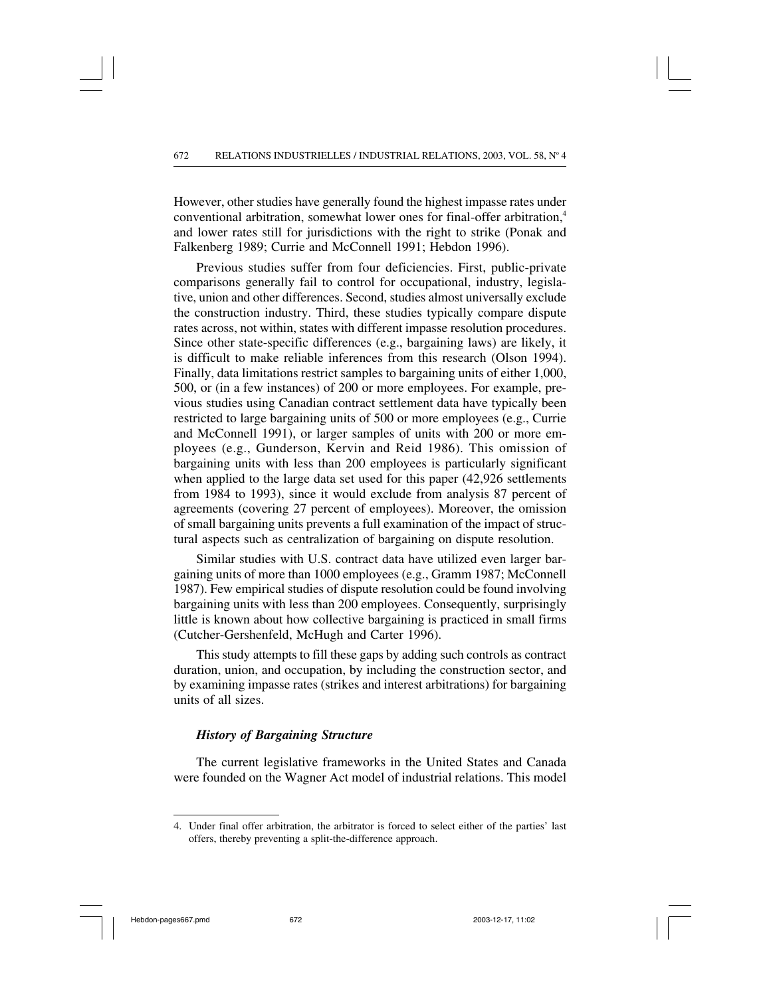However, other studies have generally found the highest impasse rates under conventional arbitration, somewhat lower ones for final-offer arbitration,4 and lower rates still for jurisdictions with the right to strike (Ponak and Falkenberg 1989; Currie and McConnell 1991; Hebdon 1996).

Previous studies suffer from four deficiencies. First, public-private comparisons generally fail to control for occupational, industry, legislative, union and other differences. Second, studies almost universally exclude the construction industry. Third, these studies typically compare dispute rates across, not within, states with different impasse resolution procedures. Since other state-specific differences (e.g., bargaining laws) are likely, it is difficult to make reliable inferences from this research (Olson 1994). Finally, data limitations restrict samples to bargaining units of either 1,000, 500, or (in a few instances) of 200 or more employees. For example, previous studies using Canadian contract settlement data have typically been restricted to large bargaining units of 500 or more employees (e.g., Currie and McConnell 1991), or larger samples of units with 200 or more employees (e.g., Gunderson, Kervin and Reid 1986). This omission of bargaining units with less than 200 employees is particularly significant when applied to the large data set used for this paper (42,926 settlements from 1984 to 1993), since it would exclude from analysis 87 percent of agreements (covering 27 percent of employees). Moreover, the omission of small bargaining units prevents a full examination of the impact of structural aspects such as centralization of bargaining on dispute resolution.

Similar studies with U.S. contract data have utilized even larger bargaining units of more than 1000 employees (e.g., Gramm 1987; McConnell 1987). Few empirical studies of dispute resolution could be found involving bargaining units with less than 200 employees. Consequently, surprisingly little is known about how collective bargaining is practiced in small firms (Cutcher-Gershenfeld, McHugh and Carter 1996).

This study attempts to fill these gaps by adding such controls as contract duration, union, and occupation, by including the construction sector, and by examining impasse rates (strikes and interest arbitrations) for bargaining units of all sizes.

#### *History of Bargaining Structure*

The current legislative frameworks in the United States and Canada were founded on the Wagner Act model of industrial relations. This model

<sup>4.</sup> Under final offer arbitration, the arbitrator is forced to select either of the parties' last offers, thereby preventing a split-the-difference approach.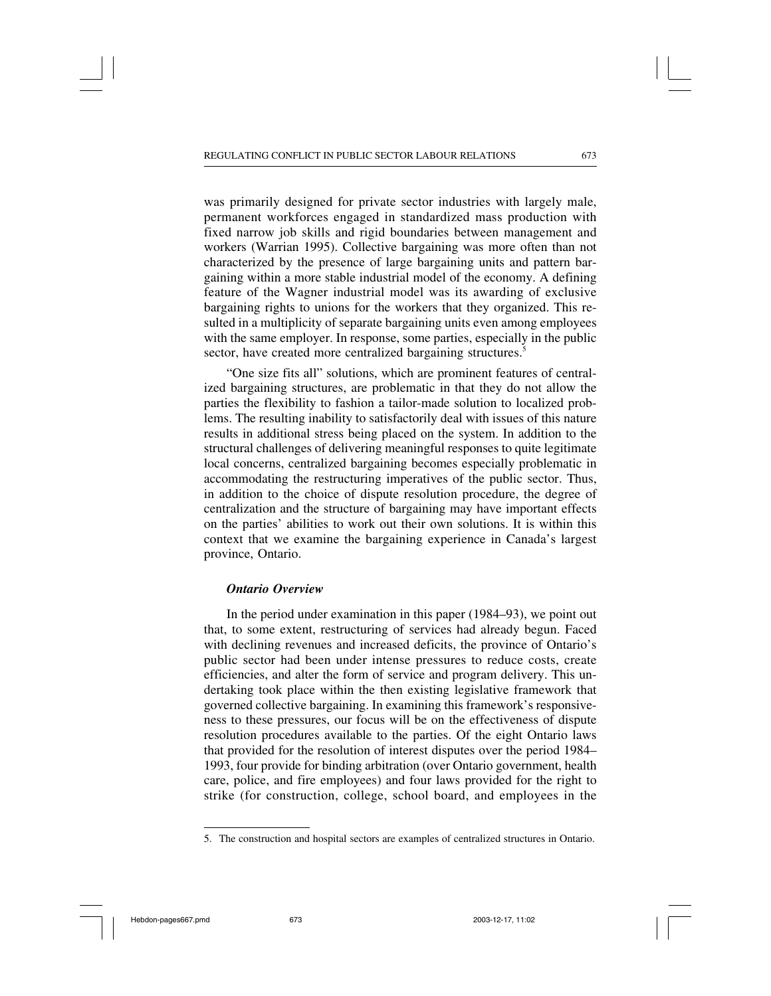was primarily designed for private sector industries with largely male, permanent workforces engaged in standardized mass production with fixed narrow job skills and rigid boundaries between management and workers (Warrian 1995). Collective bargaining was more often than not characterized by the presence of large bargaining units and pattern bargaining within a more stable industrial model of the economy. A defining feature of the Wagner industrial model was its awarding of exclusive bargaining rights to unions for the workers that they organized. This resulted in a multiplicity of separate bargaining units even among employees with the same employer. In response, some parties, especially in the public sector, have created more centralized bargaining structures.<sup>5</sup>

"One size fits all" solutions, which are prominent features of centralized bargaining structures, are problematic in that they do not allow the parties the flexibility to fashion a tailor-made solution to localized problems. The resulting inability to satisfactorily deal with issues of this nature results in additional stress being placed on the system. In addition to the structural challenges of delivering meaningful responses to quite legitimate local concerns, centralized bargaining becomes especially problematic in accommodating the restructuring imperatives of the public sector. Thus, in addition to the choice of dispute resolution procedure, the degree of centralization and the structure of bargaining may have important effects on the parties' abilities to work out their own solutions. It is within this context that we examine the bargaining experience in Canada's largest province, Ontario.

#### *Ontario Overview*

In the period under examination in this paper (1984–93), we point out that, to some extent, restructuring of services had already begun. Faced with declining revenues and increased deficits, the province of Ontario's public sector had been under intense pressures to reduce costs, create efficiencies, and alter the form of service and program delivery. This undertaking took place within the then existing legislative framework that governed collective bargaining. In examining this framework's responsiveness to these pressures, our focus will be on the effectiveness of dispute resolution procedures available to the parties. Of the eight Ontario laws that provided for the resolution of interest disputes over the period 1984– 1993, four provide for binding arbitration (over Ontario government, health care, police, and fire employees) and four laws provided for the right to strike (for construction, college, school board, and employees in the

<sup>5.</sup> The construction and hospital sectors are examples of centralized structures in Ontario.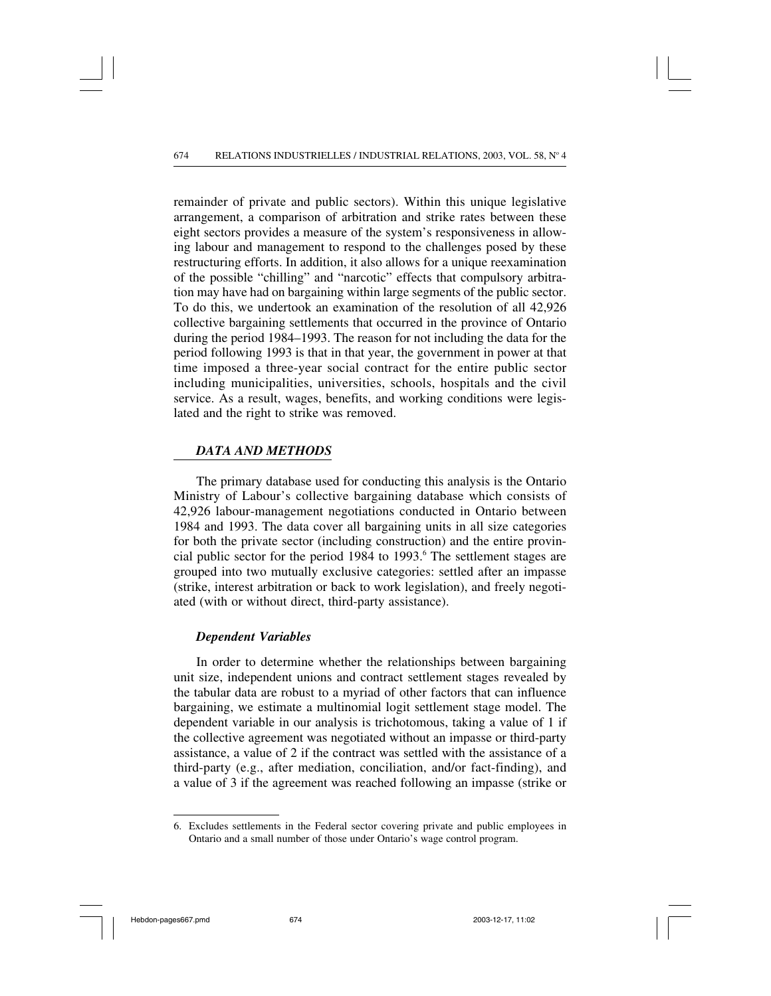remainder of private and public sectors). Within this unique legislative arrangement, a comparison of arbitration and strike rates between these eight sectors provides a measure of the system's responsiveness in allowing labour and management to respond to the challenges posed by these restructuring efforts. In addition, it also allows for a unique reexamination of the possible "chilling" and "narcotic" effects that compulsory arbitration may have had on bargaining within large segments of the public sector. To do this, we undertook an examination of the resolution of all 42,926 collective bargaining settlements that occurred in the province of Ontario during the period 1984–1993. The reason for not including the data for the period following 1993 is that in that year, the government in power at that time imposed a three-year social contract for the entire public sector including municipalities, universities, schools, hospitals and the civil service. As a result, wages, benefits, and working conditions were legislated and the right to strike was removed.

#### *DATA AND METHODS*

The primary database used for conducting this analysis is the Ontario Ministry of Labour's collective bargaining database which consists of 42,926 labour-management negotiations conducted in Ontario between 1984 and 1993. The data cover all bargaining units in all size categories for both the private sector (including construction) and the entire provincial public sector for the period 1984 to 1993.<sup>6</sup> The settlement stages are grouped into two mutually exclusive categories: settled after an impasse (strike, interest arbitration or back to work legislation), and freely negotiated (with or without direct, third-party assistance).

#### *Dependent Variables*

In order to determine whether the relationships between bargaining unit size, independent unions and contract settlement stages revealed by the tabular data are robust to a myriad of other factors that can influence bargaining, we estimate a multinomial logit settlement stage model. The dependent variable in our analysis is trichotomous, taking a value of 1 if the collective agreement was negotiated without an impasse or third-party assistance, a value of 2 if the contract was settled with the assistance of a third-party (e.g., after mediation, conciliation, and/or fact-finding), and a value of 3 if the agreement was reached following an impasse (strike or

<sup>6.</sup> Excludes settlements in the Federal sector covering private and public employees in Ontario and a small number of those under Ontario's wage control program.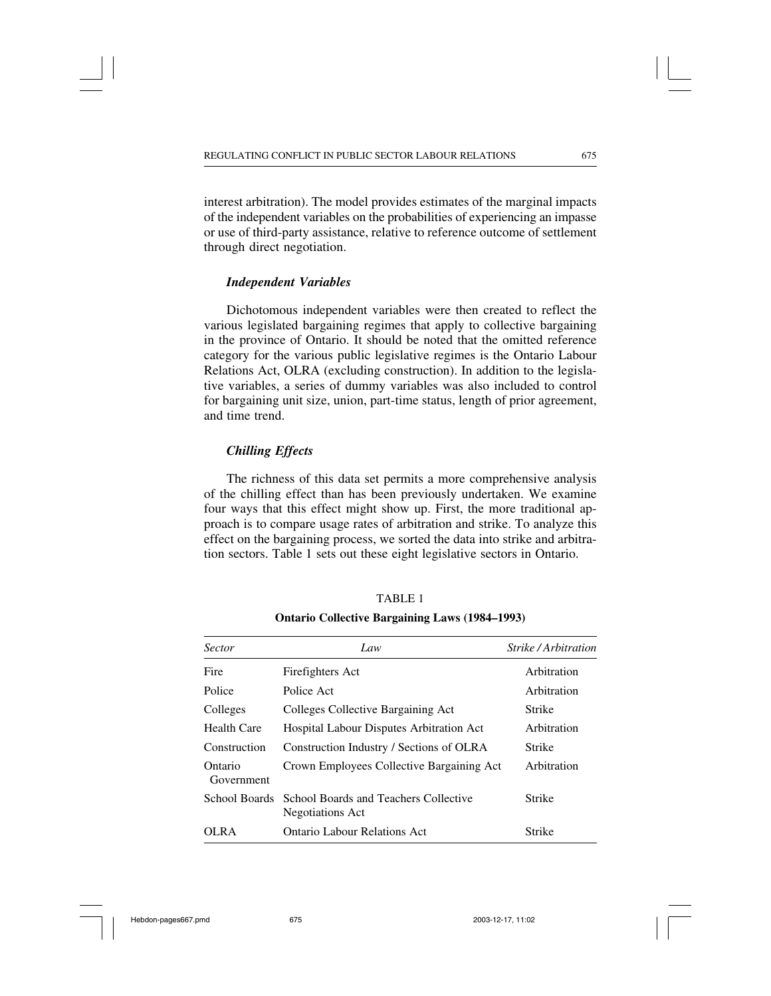interest arbitration). The model provides estimates of the marginal impacts of the independent variables on the probabilities of experiencing an impasse or use of third-party assistance, relative to reference outcome of settlement through direct negotiation.

#### *Independent Variables*

Dichotomous independent variables were then created to reflect the various legislated bargaining regimes that apply to collective bargaining in the province of Ontario. It should be noted that the omitted reference category for the various public legislative regimes is the Ontario Labour Relations Act, OLRA (excluding construction). In addition to the legislative variables, a series of dummy variables was also included to control for bargaining unit size, union, part-time status, length of prior agreement, and time trend.

### *Chilling Effects*

The richness of this data set permits a more comprehensive analysis of the chilling effect than has been previously undertaken. We examine four ways that this effect might show up. First, the more traditional approach is to compare usage rates of arbitration and strike. To analyze this effect on the bargaining process, we sorted the data into strike and arbitration sectors. Table 1 sets out these eight legislative sectors in Ontario.

| <b>Sector</b>         | Law                                                       | Strike / Arbitration |
|-----------------------|-----------------------------------------------------------|----------------------|
| Fire                  | Firefighters Act                                          | Arbitration          |
| Police                | Police Act                                                | Arbitration          |
| Colleges              | Colleges Collective Bargaining Act                        | Strike               |
| <b>Health Care</b>    | Hospital Labour Disputes Arbitration Act                  | Arbitration          |
| Construction          | Construction Industry / Sections of OLRA                  | Strike               |
| Ontario<br>Government | Crown Employees Collective Bargaining Act                 | Arbitration          |
| School Boards         | School Boards and Teachers Collective<br>Negotiations Act | Strike               |
| OLRA                  | <b>Ontario Labour Relations Act</b>                       | Strike               |

TABLE 1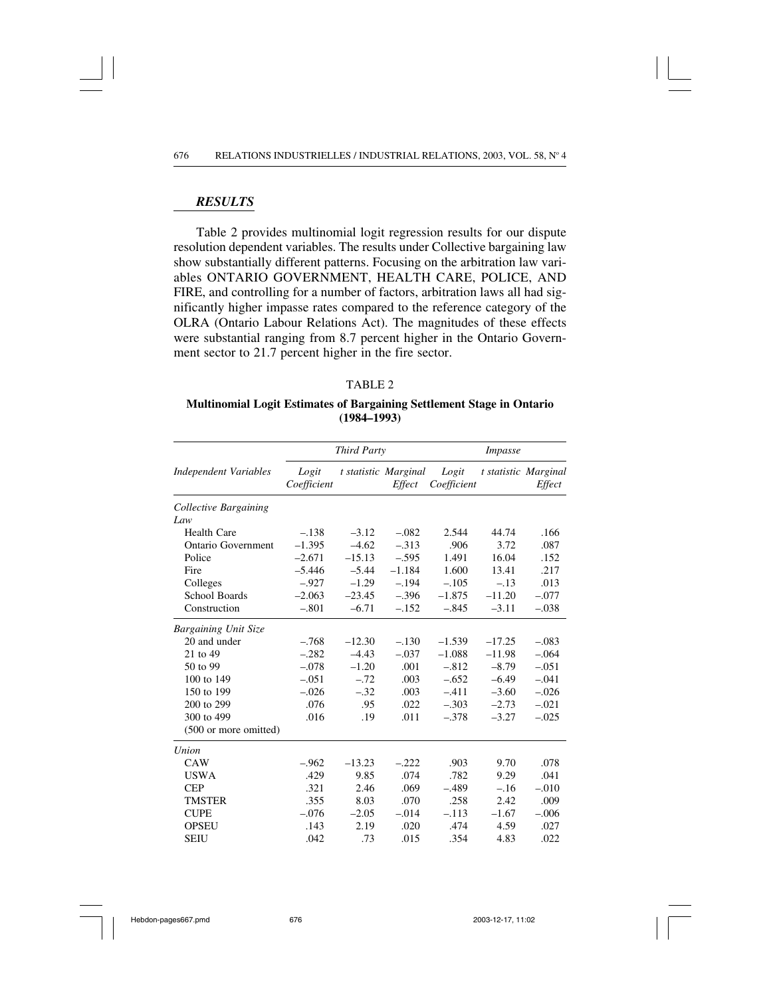#### *RESULTS*

Table 2 provides multinomial logit regression results for our dispute resolution dependent variables. The results under Collective bargaining law show substantially different patterns. Focusing on the arbitration law variables ONTARIO GOVERNMENT, HEALTH CARE, POLICE, AND FIRE, and controlling for a number of factors, arbitration laws all had significantly higher impasse rates compared to the reference category of the OLRA (Ontario Labour Relations Act). The magnitudes of these effects were substantial ranging from 8.7 percent higher in the Ontario Government sector to 21.7 percent higher in the fire sector.

#### TABLE 2

#### **Multinomial Logit Estimates of Bargaining Settlement Stage in Ontario (1984–1993)**

|                              |                      | Third Party |                                       | <i>Impasse</i>       |          |                                |
|------------------------------|----------------------|-------------|---------------------------------------|----------------------|----------|--------------------------------|
| <b>Independent Variables</b> | Logit<br>Coefficient |             | t statistic Marginal<br><i>Effect</i> | Logit<br>Coefficient |          | t statistic Marginal<br>Effect |
| Collective Bargaining        |                      |             |                                       |                      |          |                                |
| Law                          |                      |             |                                       |                      |          |                                |
| Health Care                  | $-.138$              | $-3.12$     | $-.082$                               | 2.544                | 44.74    | .166                           |
| <b>Ontario Government</b>    | $-1.395$             | $-4.62$     | $-.313$                               | .906                 | 3.72     | .087                           |
| Police                       | $-2.671$             | $-15.13$    | $-.595$                               | 1.491                | 16.04    | .152                           |
| Fire                         | $-5.446$             | $-5.44$     | $-1.184$                              | 1.600                | 13.41    | .217                           |
| Colleges                     | $-.927$              | $-1.29$     | $-.194$                               | $-.105$              | $-.13$   | .013                           |
| <b>School Boards</b>         | $-2.063$             | $-23.45$    | $-.396$                               | $-1.875$             | $-11.20$ | $-.077$                        |
| Construction                 | $-.801$              | $-6.71$     | $-.152$                               | $-.845$              | $-3.11$  | $-.038$                        |
| <b>Bargaining Unit Size</b>  |                      |             |                                       |                      |          |                                |
| 20 and under                 | $-.768$              | $-12.30$    | $-.130$                               | $-1.539$             | $-17.25$ | $-.083$                        |
| 21 to 49                     | $-.282$              | $-4.43$     | $-.037$                               | $-1.088$             | $-11.98$ | $-.064$                        |
| 50 to 99                     | $-.078$              | $-1.20$     | .001                                  | $-.812$              | $-8.79$  | $-.051$                        |
| 100 to 149                   | $-.051$              | $-.72$      | .003                                  | $-.652$              | $-6.49$  | $-.041$                        |
| 150 to 199                   | $-.026$              | $-.32$      | .003                                  | $-.411$              | $-3.60$  | $-.026$                        |
| 200 to 299                   | .076                 | .95         | .022                                  | $-.303$              | $-2.73$  | $-.021$                        |
| 300 to 499                   | .016                 | .19         | .011                                  | $-.378$              | $-3.27$  | $-.025$                        |
| (500 or more omitted)        |                      |             |                                       |                      |          |                                |
| Union                        |                      |             |                                       |                      |          |                                |
| CAW                          | $-.962$              | $-13.23$    | $-.222$                               | .903                 | 9.70     | .078                           |
| <b>USWA</b>                  | .429                 | 9.85        | .074                                  | .782                 | 9.29     | .041                           |
| <b>CEP</b>                   | .321                 | 2.46        | .069                                  | $-.489$              | $-.16$   | $-.010$                        |
| <b>TMSTER</b>                | .355                 | 8.03        | .070                                  | .258                 | 2.42     | .009                           |
| <b>CUPE</b>                  | $-.076$              | $-2.05$     | $-.014$                               | $-.113$              | $-1.67$  | $-.006$                        |
| <b>OPSEU</b>                 | .143                 | 2.19        | .020                                  | .474                 | 4.59     | .027                           |
| <b>SEIU</b>                  | .042                 | .73         | .015                                  | .354                 | 4.83     | .022                           |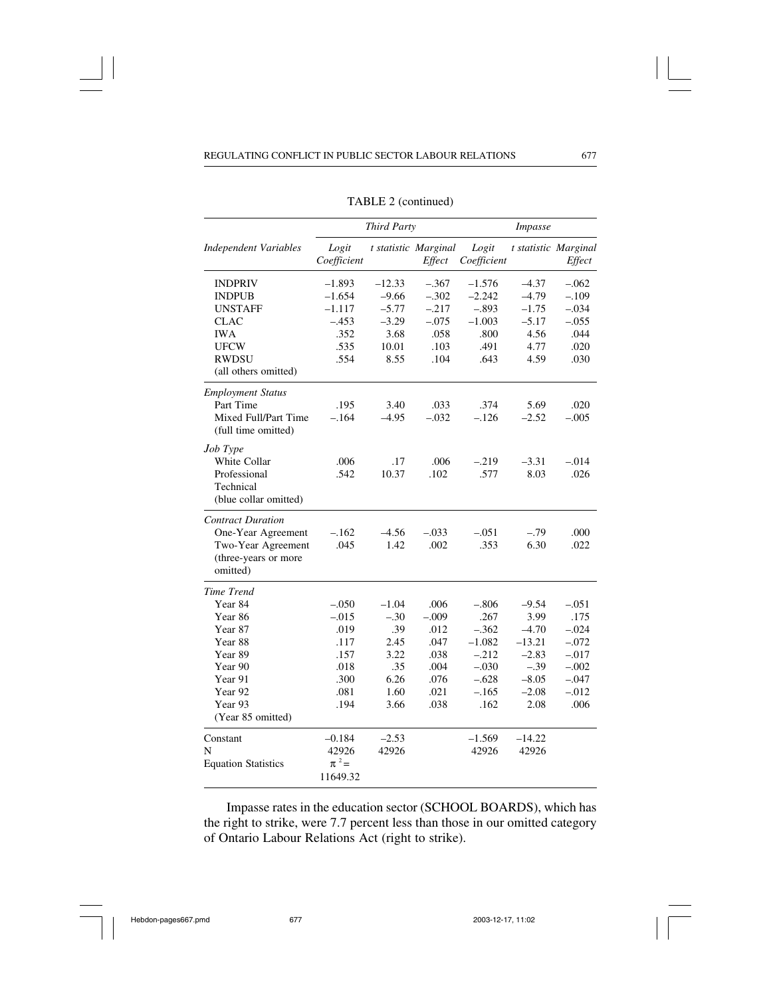|                              |                      | <b>Third Party</b> |                                |                      | Impasse  |                                |  |
|------------------------------|----------------------|--------------------|--------------------------------|----------------------|----------|--------------------------------|--|
| <b>Independent Variables</b> | Logit<br>Coefficient |                    | t statistic Marginal<br>Effect | Logit<br>Coefficient |          | t statistic Marginal<br>Effect |  |
| <b>INDPRIV</b>               | $-1.893$             | $-12.33$           | $-.367$                        | $-1.576$             | $-4.37$  | $-.062$                        |  |
| <b>INDPUB</b>                | $-1.654$             | $-9.66$            | $-.302$                        | $-2.242$             | $-4.79$  | $-.109$                        |  |
| <b>UNSTAFF</b>               | -1.117               | $-5.77$            | $-.217$                        | $-.893$              | $-1.75$  | $-.034$                        |  |
| <b>CLAC</b>                  | $-.453$              | $-3.29$            | $-.075$                        | $-1.003$             | $-5.17$  | $-.055$                        |  |
| <b>IWA</b>                   | .352                 | 3.68               | .058                           | .800                 | 4.56     | .044                           |  |
| <b>UFCW</b>                  | .535                 | 10.01              | .103                           | .491                 | 4.77     | .020                           |  |
| <b>RWDSU</b>                 | .554                 | 8.55               | .104                           | .643                 | 4.59     | .030                           |  |
| (all others omitted)         |                      |                    |                                |                      |          |                                |  |
| <b>Employment Status</b>     |                      |                    |                                |                      |          |                                |  |
| Part Time                    | .195                 | 3.40               | .033                           | .374                 | 5.69     | .020                           |  |
| Mixed Full/Part Time         | $-.164$              | $-4.95$            | $-.032$                        | $-.126$              | $-2.52$  | $-.005$                        |  |
| (full time omitted)          |                      |                    |                                |                      |          |                                |  |
| Job Type                     |                      |                    |                                |                      |          |                                |  |
| White Collar                 | .006                 | .17                | .006                           | $-.219$              | $-3.31$  | $-.014$                        |  |
| Professional                 | .542                 | 10.37              | .102                           | .577                 | 8.03     | .026                           |  |
| Technical                    |                      |                    |                                |                      |          |                                |  |
| (blue collar omitted)        |                      |                    |                                |                      |          |                                |  |
| <b>Contract Duration</b>     |                      |                    |                                |                      |          |                                |  |
| One-Year Agreement           | $-.162$              | $-4.56$            | $-.033$                        | $-.051$              | $-.79$   | .000                           |  |
| Two-Year Agreement           | .045                 | 1.42               | .002                           | .353                 | 6.30     | .022                           |  |
| (three-years or more         |                      |                    |                                |                      |          |                                |  |
| omitted)                     |                      |                    |                                |                      |          |                                |  |
| Time Trend                   |                      |                    |                                |                      |          |                                |  |
| Year 84                      | $-.050$              | $-1.04$            | .006                           | $-.806$              | $-9.54$  | $-.051$                        |  |
| Year 86                      | $-.015$              | $-.30$             | $-.009$                        | .267                 | 3.99     | .175                           |  |
| Year 87                      | .019                 | .39                | .012                           | $-.362$              | $-4.70$  | $-.024$                        |  |
| Year 88                      | .117                 | 2.45               | .047                           | $-1.082$             | $-13.21$ | $-.072$                        |  |
| Year 89                      | .157                 | 3.22               | .038                           | $-.212$              | $-2.83$  | $-.017$                        |  |
| Year 90                      | .018                 | .35                | .004                           | $-.030$              | $-.39$   | $-.002$                        |  |
| Year 91                      | .300                 | 6.26               | .076                           | $-.628$              | $-8.05$  | $-.047$                        |  |
| Year 92                      | .081                 | 1.60               | .021                           | $-.165$              | $-2.08$  | $-.012$                        |  |
| Year <sub>93</sub>           | .194                 | 3.66               | .038                           | .162                 | 2.08     | .006                           |  |
| (Year 85 omitted)            |                      |                    |                                |                      |          |                                |  |
| Constant                     | $-0.184$             | $-2.53$            |                                | $-1.569$             | $-14.22$ |                                |  |
| N                            | 42926                | 42926              |                                | 42926                | 42926    |                                |  |
| <b>Equation Statistics</b>   | $\pi^2$ =            |                    |                                |                      |          |                                |  |
|                              | 11649.32             |                    |                                |                      |          |                                |  |

TABLE 2 (continued)

Impasse rates in the education sector (SCHOOL BOARDS), which has the right to strike, were 7.7 percent less than those in our omitted category of Ontario Labour Relations Act (right to strike).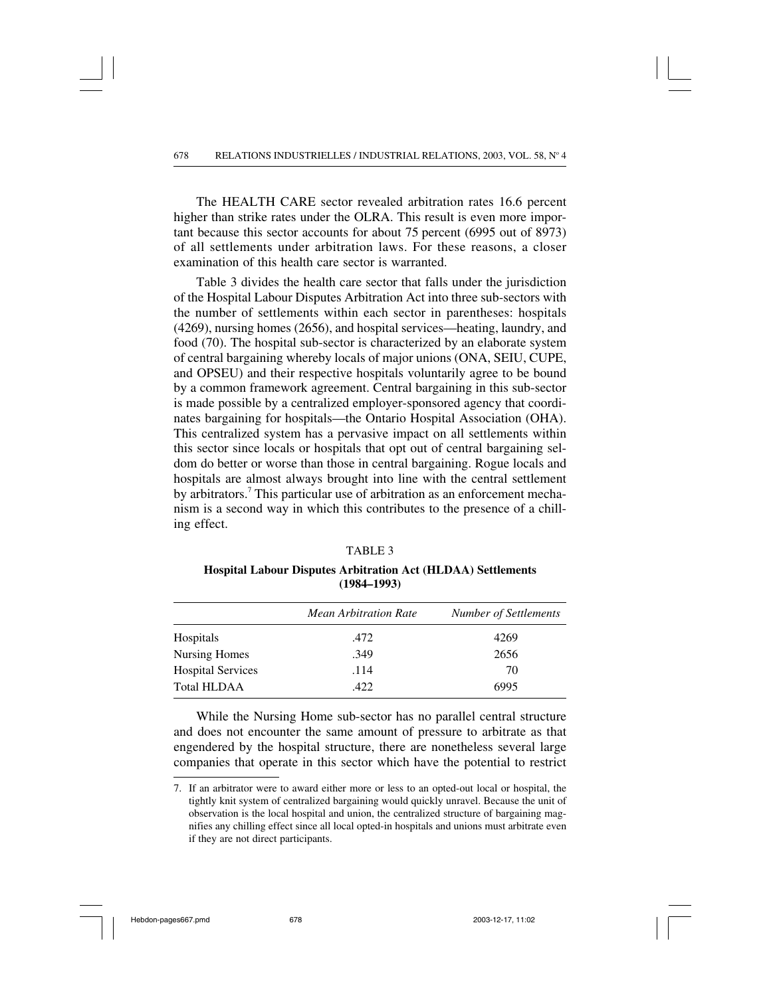The HEALTH CARE sector revealed arbitration rates 16.6 percent higher than strike rates under the OLRA. This result is even more important because this sector accounts for about 75 percent (6995 out of 8973) of all settlements under arbitration laws. For these reasons, a closer examination of this health care sector is warranted.

Table 3 divides the health care sector that falls under the jurisdiction of the Hospital Labour Disputes Arbitration Act into three sub-sectors with the number of settlements within each sector in parentheses: hospitals (4269), nursing homes (2656), and hospital services—heating, laundry, and food (70). The hospital sub-sector is characterized by an elaborate system of central bargaining whereby locals of major unions (ONA, SEIU, CUPE, and OPSEU) and their respective hospitals voluntarily agree to be bound by a common framework agreement. Central bargaining in this sub-sector is made possible by a centralized employer-sponsored agency that coordinates bargaining for hospitals—the Ontario Hospital Association (OHA). This centralized system has a pervasive impact on all settlements within this sector since locals or hospitals that opt out of central bargaining seldom do better or worse than those in central bargaining. Rogue locals and hospitals are almost always brought into line with the central settlement by arbitrators.<sup>7</sup> This particular use of arbitration as an enforcement mechanism is a second way in which this contributes to the presence of a chilling effect.

| TABLE |  |
|-------|--|
|-------|--|

**Hospital Labour Disputes Arbitration Act (HLDAA) Settlements (1984–1993)**

| <b>Mean Arbitration Rate</b> | <b>Number of Settlements</b> |
|------------------------------|------------------------------|
| .472                         | 4269                         |
| .349                         | 2656                         |
| .114                         | 70                           |
| .422                         | 6995                         |
|                              |                              |

While the Nursing Home sub-sector has no parallel central structure and does not encounter the same amount of pressure to arbitrate as that engendered by the hospital structure, there are nonetheless several large companies that operate in this sector which have the potential to restrict

<sup>7.</sup> If an arbitrator were to award either more or less to an opted-out local or hospital, the tightly knit system of centralized bargaining would quickly unravel. Because the unit of observation is the local hospital and union, the centralized structure of bargaining magnifies any chilling effect since all local opted-in hospitals and unions must arbitrate even if they are not direct participants.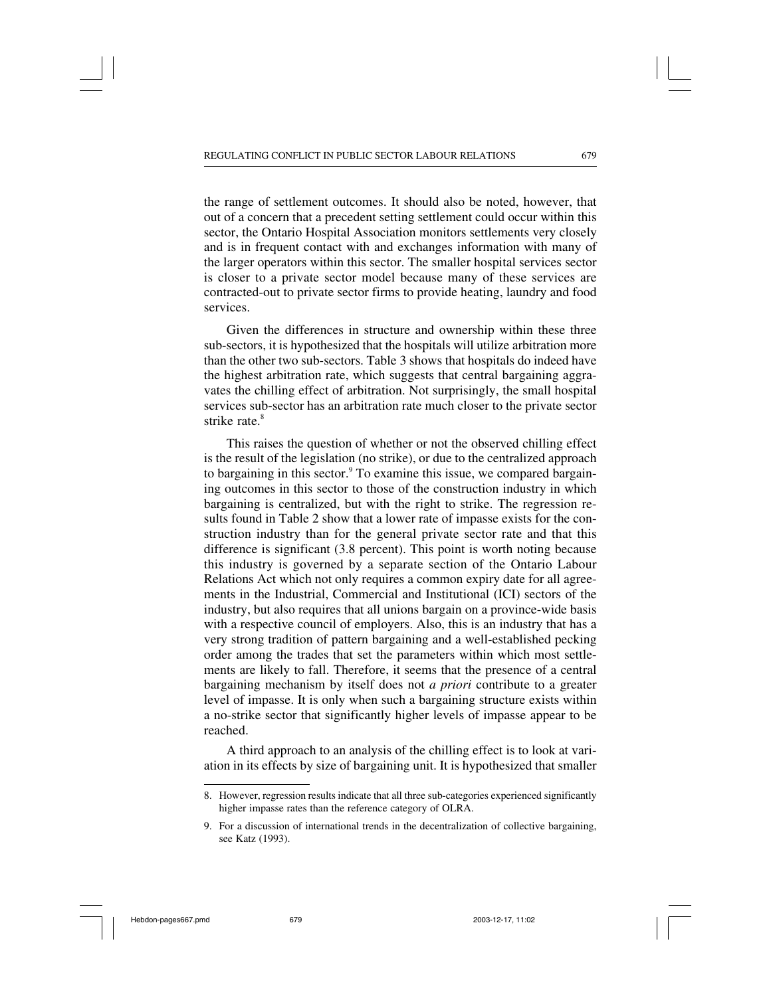the range of settlement outcomes. It should also be noted, however, that out of a concern that a precedent setting settlement could occur within this sector, the Ontario Hospital Association monitors settlements very closely and is in frequent contact with and exchanges information with many of the larger operators within this sector. The smaller hospital services sector is closer to a private sector model because many of these services are contracted-out to private sector firms to provide heating, laundry and food services.

Given the differences in structure and ownership within these three sub-sectors, it is hypothesized that the hospitals will utilize arbitration more than the other two sub-sectors. Table 3 shows that hospitals do indeed have the highest arbitration rate, which suggests that central bargaining aggravates the chilling effect of arbitration. Not surprisingly, the small hospital services sub-sector has an arbitration rate much closer to the private sector strike rate.<sup>8</sup>

This raises the question of whether or not the observed chilling effect is the result of the legislation (no strike), or due to the centralized approach to bargaining in this sector.<sup>9</sup> To examine this issue, we compared bargaining outcomes in this sector to those of the construction industry in which bargaining is centralized, but with the right to strike. The regression results found in Table 2 show that a lower rate of impasse exists for the construction industry than for the general private sector rate and that this difference is significant (3.8 percent). This point is worth noting because this industry is governed by a separate section of the Ontario Labour Relations Act which not only requires a common expiry date for all agreements in the Industrial, Commercial and Institutional (ICI) sectors of the industry, but also requires that all unions bargain on a province-wide basis with a respective council of employers. Also, this is an industry that has a very strong tradition of pattern bargaining and a well-established pecking order among the trades that set the parameters within which most settlements are likely to fall. Therefore, it seems that the presence of a central bargaining mechanism by itself does not *a priori* contribute to a greater level of impasse. It is only when such a bargaining structure exists within a no-strike sector that significantly higher levels of impasse appear to be reached.

A third approach to an analysis of the chilling effect is to look at variation in its effects by size of bargaining unit. It is hypothesized that smaller

<sup>8.</sup> However, regression results indicate that all three sub-categories experienced significantly higher impasse rates than the reference category of OLRA.

<sup>9.</sup> For a discussion of international trends in the decentralization of collective bargaining, see Katz (1993).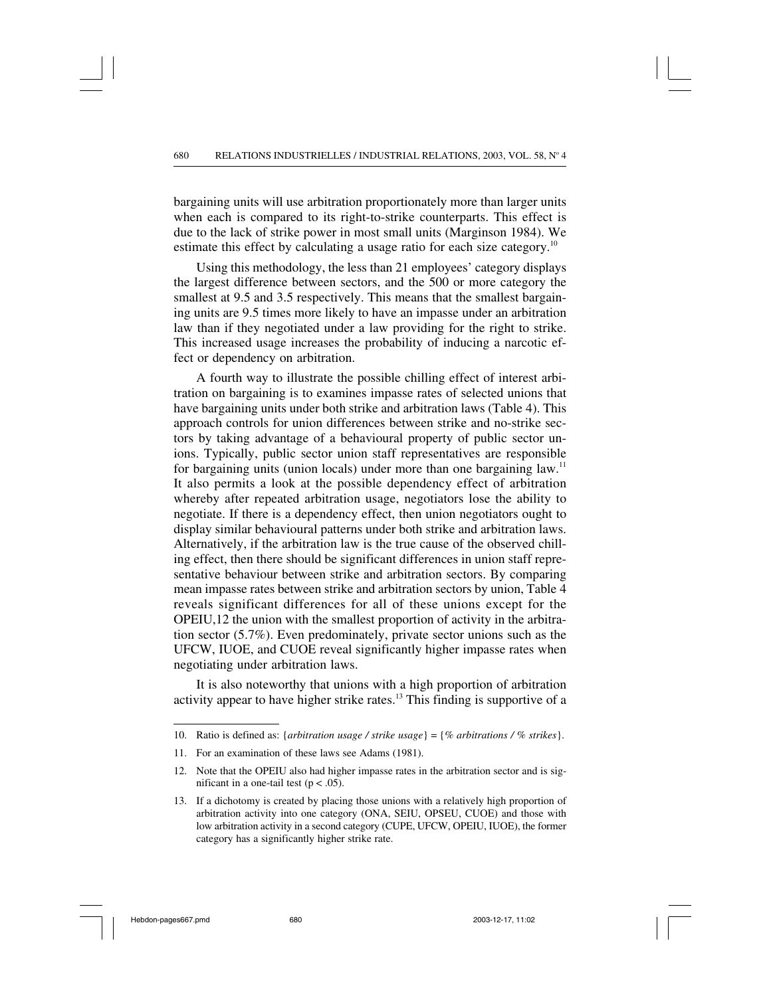bargaining units will use arbitration proportionately more than larger units when each is compared to its right-to-strike counterparts. This effect is due to the lack of strike power in most small units (Marginson 1984). We estimate this effect by calculating a usage ratio for each size category.<sup>10</sup>

Using this methodology, the less than 21 employees' category displays the largest difference between sectors, and the 500 or more category the smallest at 9.5 and 3.5 respectively. This means that the smallest bargaining units are 9.5 times more likely to have an impasse under an arbitration law than if they negotiated under a law providing for the right to strike. This increased usage increases the probability of inducing a narcotic effect or dependency on arbitration.

A fourth way to illustrate the possible chilling effect of interest arbitration on bargaining is to examines impasse rates of selected unions that have bargaining units under both strike and arbitration laws (Table 4). This approach controls for union differences between strike and no-strike sectors by taking advantage of a behavioural property of public sector unions. Typically, public sector union staff representatives are responsible for bargaining units (union locals) under more than one bargaining  $law<sup>11</sup>$ It also permits a look at the possible dependency effect of arbitration whereby after repeated arbitration usage, negotiators lose the ability to negotiate. If there is a dependency effect, then union negotiators ought to display similar behavioural patterns under both strike and arbitration laws. Alternatively, if the arbitration law is the true cause of the observed chilling effect, then there should be significant differences in union staff representative behaviour between strike and arbitration sectors. By comparing mean impasse rates between strike and arbitration sectors by union, Table 4 reveals significant differences for all of these unions except for the OPEIU,12 the union with the smallest proportion of activity in the arbitration sector (5.7%). Even predominately, private sector unions such as the UFCW, IUOE, and CUOE reveal significantly higher impasse rates when negotiating under arbitration laws.

It is also noteworthy that unions with a high proportion of arbitration activity appear to have higher strike rates.13 This finding is supportive of a

<sup>10.</sup> Ratio is defined as: {*arbitration usage / strike usage*} = {*% arbitrations / % strikes*}.

<sup>11.</sup> For an examination of these laws see Adams (1981).

<sup>12.</sup> Note that the OPEIU also had higher impasse rates in the arbitration sector and is significant in a one-tail test ( $p < .05$ ).

<sup>13.</sup> If a dichotomy is created by placing those unions with a relatively high proportion of arbitration activity into one category (ONA, SEIU, OPSEU, CUOE) and those with low arbitration activity in a second category (CUPE, UFCW, OPEIU, IUOE), the former category has a significantly higher strike rate.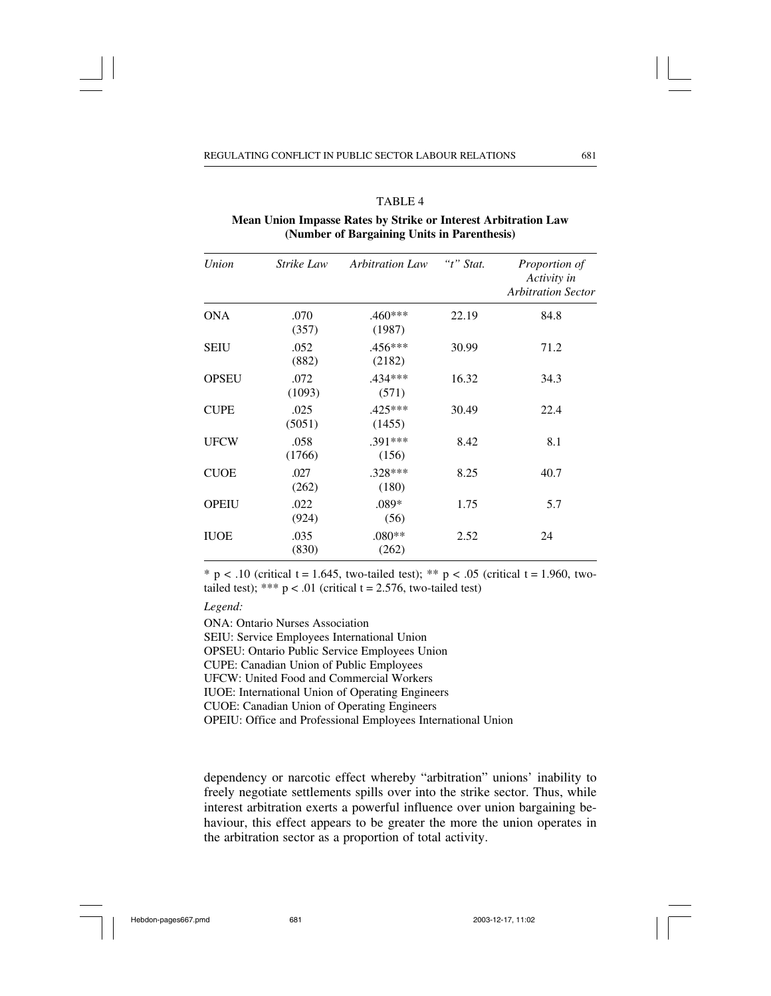#### TABLE 4

| <b>Mean Union Impasse Rates by Strike or Interest Arbitration Law</b> |
|-----------------------------------------------------------------------|
| (Number of Bargaining Units in Parenthesis)                           |

| Union        | Strike Law     | <b>Arbitration Law</b> | "t" Stat. | Proportion of<br>Activity in<br><b>Arbitration Sector</b> |
|--------------|----------------|------------------------|-----------|-----------------------------------------------------------|
| <b>ONA</b>   | .070<br>(357)  | .460***<br>(1987)      | 22.19     | 84.8                                                      |
| <b>SEIU</b>  | .052<br>(882)  | .456***<br>(2182)      | 30.99     | 71.2                                                      |
| <b>OPSEU</b> | .072<br>(1093) | .434***<br>(571)       | 16.32     | 34.3                                                      |
| <b>CUPE</b>  | .025<br>(5051) | $.425***$<br>(1455)    | 30.49     | 22.4                                                      |
| <b>UFCW</b>  | .058<br>(1766) | $.391***$<br>(156)     | 8.42      | 8.1                                                       |
| <b>CUOE</b>  | .027<br>(262)  | $.328***$<br>(180)     | 8.25      | 40.7                                                      |
| <b>OPEIU</b> | .022<br>(924)  | $.089*$<br>(56)        | 1.75      | 5.7                                                       |
| <b>IUOE</b>  | .035<br>(830)  | $.080**$<br>(262)      | 2.52      | 24                                                        |

\* p < .10 (critical t = 1.645, two-tailed test); \*\* p < .05 (critical t = 1.960, twotailed test); \*\*\*  $p < .01$  (critical t = 2.576, two-tailed test)

*Legend:*

ONA: Ontario Nurses Association SEIU: Service Employees International Union OPSEU: Ontario Public Service Employees Union CUPE: Canadian Union of Public Employees UFCW: United Food and Commercial Workers IUOE: International Union of Operating Engineers CUOE: Canadian Union of Operating Engineers OPEIU: Office and Professional Employees International Union

dependency or narcotic effect whereby "arbitration" unions' inability to freely negotiate settlements spills over into the strike sector. Thus, while interest arbitration exerts a powerful influence over union bargaining behaviour, this effect appears to be greater the more the union operates in the arbitration sector as a proportion of total activity.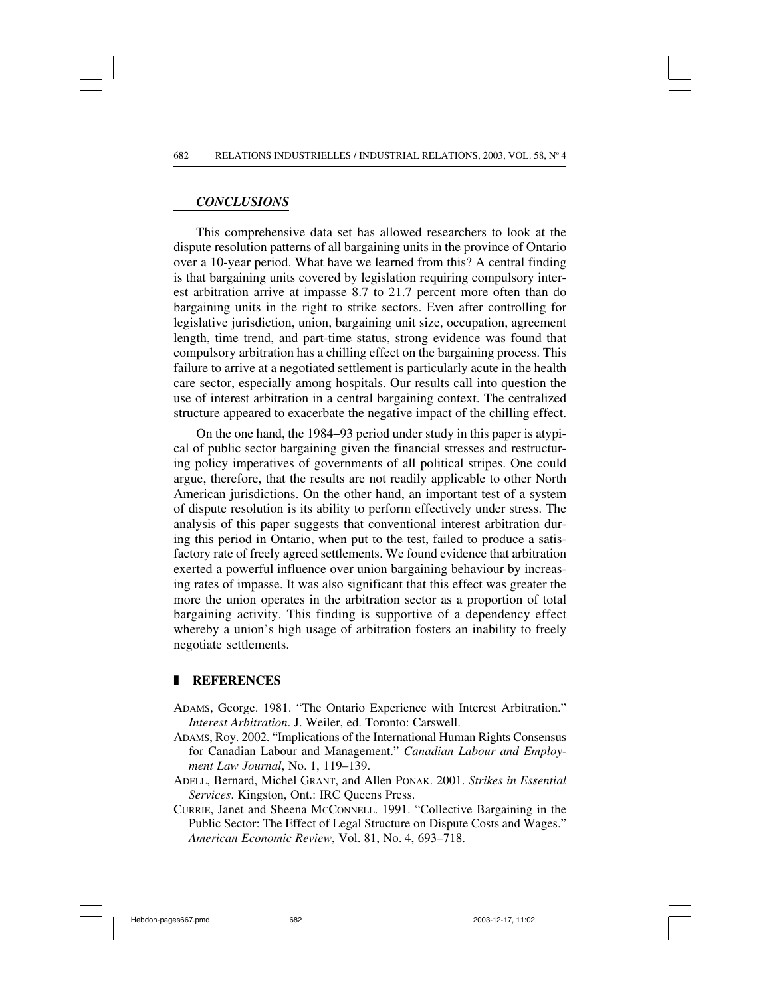#### *CONCLUSIONS*

This comprehensive data set has allowed researchers to look at the dispute resolution patterns of all bargaining units in the province of Ontario over a 10-year period. What have we learned from this? A central finding is that bargaining units covered by legislation requiring compulsory interest arbitration arrive at impasse 8.7 to 21.7 percent more often than do bargaining units in the right to strike sectors. Even after controlling for legislative jurisdiction, union, bargaining unit size, occupation, agreement length, time trend, and part-time status, strong evidence was found that compulsory arbitration has a chilling effect on the bargaining process. This failure to arrive at a negotiated settlement is particularly acute in the health care sector, especially among hospitals. Our results call into question the use of interest arbitration in a central bargaining context. The centralized structure appeared to exacerbate the negative impact of the chilling effect.

On the one hand, the 1984–93 period under study in this paper is atypical of public sector bargaining given the financial stresses and restructuring policy imperatives of governments of all political stripes. One could argue, therefore, that the results are not readily applicable to other North American jurisdictions. On the other hand, an important test of a system of dispute resolution is its ability to perform effectively under stress. The analysis of this paper suggests that conventional interest arbitration during this period in Ontario, when put to the test, failed to produce a satisfactory rate of freely agreed settlements. We found evidence that arbitration exerted a powerful influence over union bargaining behaviour by increasing rates of impasse. It was also significant that this effect was greater the more the union operates in the arbitration sector as a proportion of total bargaining activity. This finding is supportive of a dependency effect whereby a union's high usage of arbitration fosters an inability to freely negotiate settlements.

#### ❚ **REFERENCES**

- ADAMS, George. 1981. "The Ontario Experience with Interest Arbitration." *Interest Arbitration*. J. Weiler, ed. Toronto: Carswell.
- ADAMS, Roy. 2002. "Implications of the International Human Rights Consensus for Canadian Labour and Management." *Canadian Labour and Employment Law Journal*, No. 1, 119–139.
- ADELL, Bernard, Michel GRANT, and Allen PONAK. 2001. *Strikes in Essential Services*. Kingston, Ont.: IRC Queens Press.
- CURRIE, Janet and Sheena MCCONNELL. 1991. "Collective Bargaining in the Public Sector: The Effect of Legal Structure on Dispute Costs and Wages." *American Economic Review*, Vol. 81, No. 4, 693–718.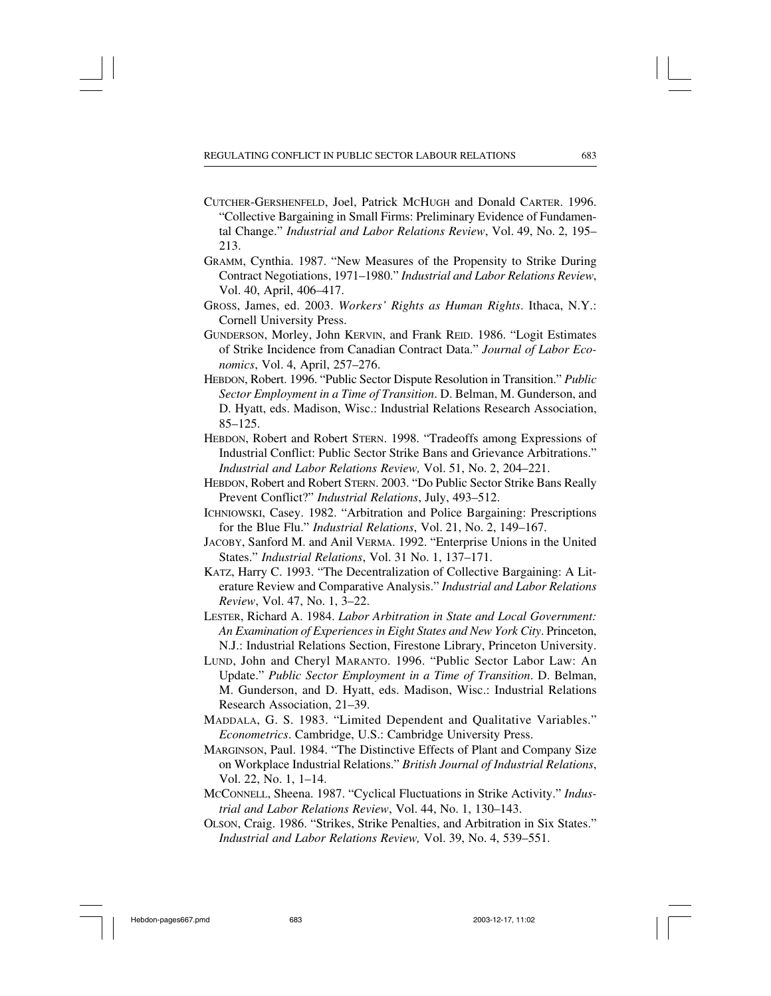- CUTCHER-GERSHENFELD, Joel, Patrick MCHUGH and Donald CARTER. 1996. "Collective Bargaining in Small Firms: Preliminary Evidence of Fundamental Change." *Industrial and Labor Relations Review*, Vol. 49, No. 2, 195– 213.
- GRAMM, Cynthia. 1987. "New Measures of the Propensity to Strike During Contract Negotiations, 1971–1980." *Industrial and Labor Relations Review*, Vol. 40, April, 406–417.
- GROSS, James, ed. 2003. *Workers' Rights as Human Rights*. Ithaca, N.Y.: Cornell University Press.
- GUNDERSON, Morley, John KERVIN, and Frank REID. 1986. "Logit Estimates of Strike Incidence from Canadian Contract Data." *Journal of Labor Economics*, Vol. 4, April, 257–276.
- HEBDON, Robert. 1996. "Public Sector Dispute Resolution in Transition." *Public Sector Employment in a Time of Transition*. D. Belman, M. Gunderson, and D. Hyatt, eds. Madison, Wisc.: Industrial Relations Research Association, 85–125.
- HEBDON, Robert and Robert STERN. 1998. "Tradeoffs among Expressions of Industrial Conflict: Public Sector Strike Bans and Grievance Arbitrations." *Industrial and Labor Relations Review,* Vol. 51, No. 2, 204–221.
- HEBDON, Robert and Robert STERN. 2003. "Do Public Sector Strike Bans Really Prevent Conflict?" *Industrial Relations*, July, 493–512.
- ICHNIOWSKI, Casey. 1982. "Arbitration and Police Bargaining: Prescriptions for the Blue Flu." *Industrial Relations*, Vol. 21, No. 2, 149–167.
- JACOBY, Sanford M. and Anil VERMA. 1992. "Enterprise Unions in the United States." *Industrial Relations*, Vol. 31 No. 1, 137–171.
- KATZ, Harry C. 1993. "The Decentralization of Collective Bargaining: A Literature Review and Comparative Analysis." *Industrial and Labor Relations Review*, Vol. 47, No. 1, 3–22.
- LESTER, Richard A. 1984. *Labor Arbitration in State and Local Government: An Examination of Experiences in Eight States and New York City*. Princeton, N.J.: Industrial Relations Section, Firestone Library, Princeton University.
- LUND, John and Cheryl MARANTO. 1996. "Public Sector Labor Law: An Update." *Public Sector Employment in a Time of Transition*. D. Belman, M. Gunderson, and D. Hyatt, eds. Madison, Wisc.: Industrial Relations Research Association, 21–39.
- MADDALA, G. S. 1983. "Limited Dependent and Qualitative Variables." *Econometrics*. Cambridge, U.S.: Cambridge University Press.
- MARGINSON, Paul. 1984. "The Distinctive Effects of Plant and Company Size on Workplace Industrial Relations." *British Journal of Industrial Relations*, Vol. 22, No. 1, 1–14.
- MCCONNELL, Sheena. 1987. "Cyclical Fluctuations in Strike Activity." *Industrial and Labor Relations Review*, Vol. 44, No. 1, 130–143.
- OLSON, Craig. 1986. "Strikes, Strike Penalties, and Arbitration in Six States." *Industrial and Labor Relations Review,* Vol. 39, No. 4, 539–551.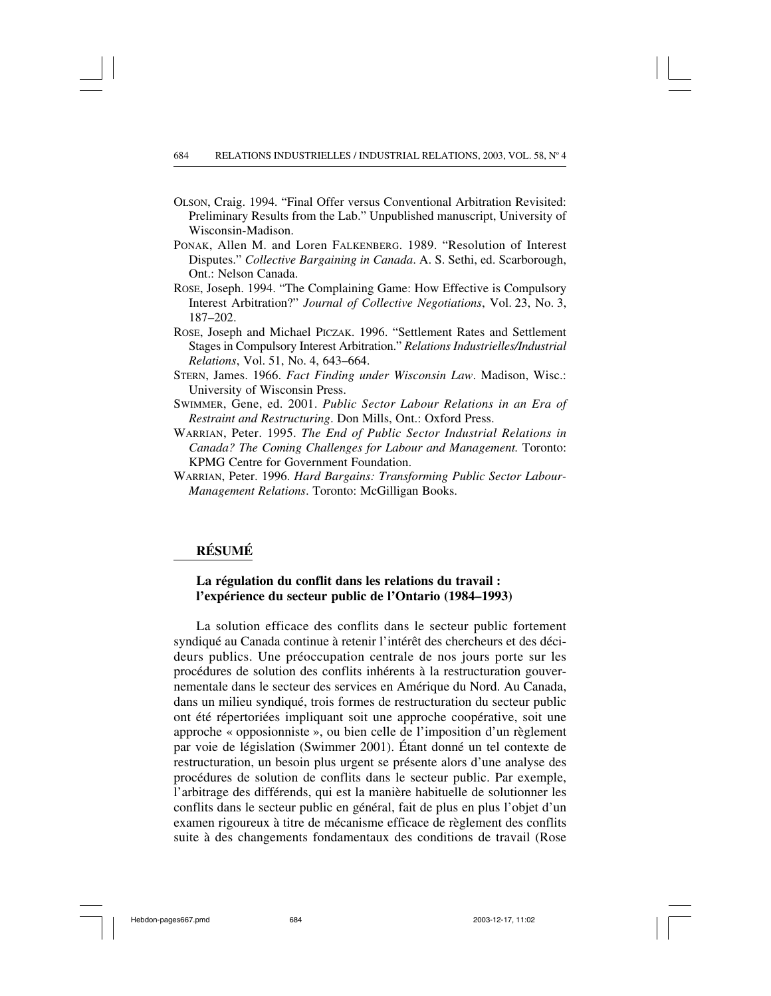- OLSON, Craig. 1994. "Final Offer versus Conventional Arbitration Revisited: Preliminary Results from the Lab." Unpublished manuscript, University of Wisconsin-Madison.
- PONAK, Allen M. and Loren FALKENBERG. 1989. "Resolution of Interest Disputes." *Collective Bargaining in Canada*. A. S. Sethi, ed. Scarborough, Ont.: Nelson Canada.
- ROSE, Joseph. 1994. "The Complaining Game: How Effective is Compulsory Interest Arbitration?" *Journal of Collective Negotiations*, Vol. 23, No. 3, 187–202.
- ROSE, Joseph and Michael PICZAK. 1996. "Settlement Rates and Settlement Stages in Compulsory Interest Arbitration." *Relations Industrielles/Industrial Relations*, Vol. 51, No. 4, 643–664.
- STERN, James. 1966. *Fact Finding under Wisconsin Law*. Madison, Wisc.: University of Wisconsin Press.
- SWIMMER, Gene, ed. 2001. *Public Sector Labour Relations in an Era of Restraint and Restructuring*. Don Mills, Ont.: Oxford Press.
- WARRIAN, Peter. 1995. *The End of Public Sector Industrial Relations in Canada? The Coming Challenges for Labour and Management.* Toronto: KPMG Centre for Government Foundation.
- WARRIAN, Peter. 1996. *Hard Bargains: Transforming Public Sector Labour-Management Relations*. Toronto: McGilligan Books.

# **RÉSUMÉ**

# **La régulation du conflit dans les relations du travail : l'expérience du secteur public de l'Ontario (1984–1993)**

La solution efficace des conflits dans le secteur public fortement syndiqué au Canada continue à retenir l'intérêt des chercheurs et des décideurs publics. Une préoccupation centrale de nos jours porte sur les procédures de solution des conflits inhérents à la restructuration gouvernementale dans le secteur des services en Amérique du Nord. Au Canada, dans un milieu syndiqué, trois formes de restructuration du secteur public ont été répertoriées impliquant soit une approche coopérative, soit une approche « opposionniste », ou bien celle de l'imposition d'un règlement par voie de législation (Swimmer 2001). Étant donné un tel contexte de restructuration, un besoin plus urgent se présente alors d'une analyse des procédures de solution de conflits dans le secteur public. Par exemple, l'arbitrage des différends, qui est la manière habituelle de solutionner les conflits dans le secteur public en général, fait de plus en plus l'objet d'un examen rigoureux à titre de mécanisme efficace de règlement des conflits suite à des changements fondamentaux des conditions de travail (Rose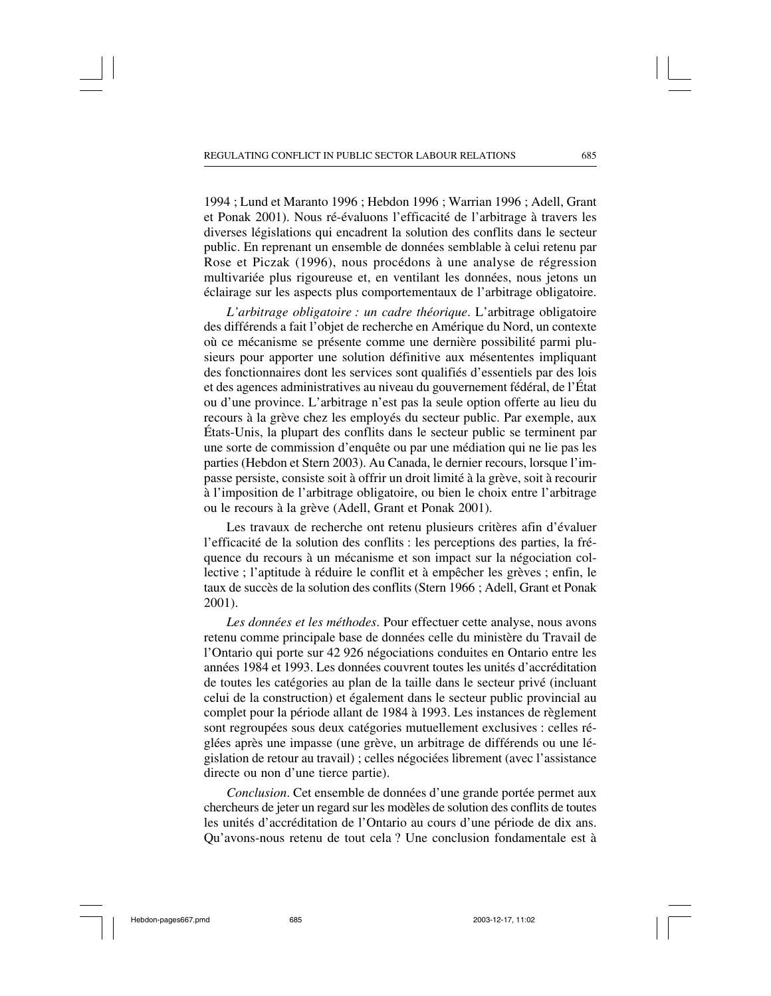1994 ; Lund et Maranto 1996 ; Hebdon 1996 ; Warrian 1996 ; Adell, Grant et Ponak 2001). Nous ré-évaluons l'efficacité de l'arbitrage à travers les diverses législations qui encadrent la solution des conflits dans le secteur public. En reprenant un ensemble de données semblable à celui retenu par Rose et Piczak (1996), nous procédons à une analyse de régression multivariée plus rigoureuse et, en ventilant les données, nous jetons un éclairage sur les aspects plus comportementaux de l'arbitrage obligatoire.

*L'arbitrage obligatoire : un cadre théorique*. L'arbitrage obligatoire des différends a fait l'objet de recherche en Amérique du Nord, un contexte où ce mécanisme se présente comme une dernière possibilité parmi plusieurs pour apporter une solution définitive aux mésententes impliquant des fonctionnaires dont les services sont qualifiés d'essentiels par des lois et des agences administratives au niveau du gouvernement fédéral, de l'État ou d'une province. L'arbitrage n'est pas la seule option offerte au lieu du recours à la grève chez les employés du secteur public. Par exemple, aux États-Unis, la plupart des conflits dans le secteur public se terminent par une sorte de commission d'enquête ou par une médiation qui ne lie pas les parties (Hebdon et Stern 2003). Au Canada, le dernier recours, lorsque l'impasse persiste, consiste soit à offrir un droit limité à la grève, soit à recourir à l'imposition de l'arbitrage obligatoire, ou bien le choix entre l'arbitrage ou le recours à la grève (Adell, Grant et Ponak 2001).

Les travaux de recherche ont retenu plusieurs critères afin d'évaluer l'efficacité de la solution des conflits : les perceptions des parties, la fréquence du recours à un mécanisme et son impact sur la négociation collective ; l'aptitude à réduire le conflit et à empêcher les grèves ; enfin, le taux de succès de la solution des conflits (Stern 1966 ; Adell, Grant et Ponak 2001).

*Les données et les méthodes*. Pour effectuer cette analyse, nous avons retenu comme principale base de données celle du ministère du Travail de l'Ontario qui porte sur 42 926 négociations conduites en Ontario entre les années 1984 et 1993. Les données couvrent toutes les unités d'accréditation de toutes les catégories au plan de la taille dans le secteur privé (incluant celui de la construction) et également dans le secteur public provincial au complet pour la période allant de 1984 à 1993. Les instances de règlement sont regroupées sous deux catégories mutuellement exclusives : celles réglées après une impasse (une grève, un arbitrage de différends ou une législation de retour au travail) ; celles négociées librement (avec l'assistance directe ou non d'une tierce partie).

*Conclusion*. Cet ensemble de données d'une grande portée permet aux chercheurs de jeter un regard sur les modèles de solution des conflits de toutes les unités d'accréditation de l'Ontario au cours d'une période de dix ans. Qu'avons-nous retenu de tout cela ? Une conclusion fondamentale est à